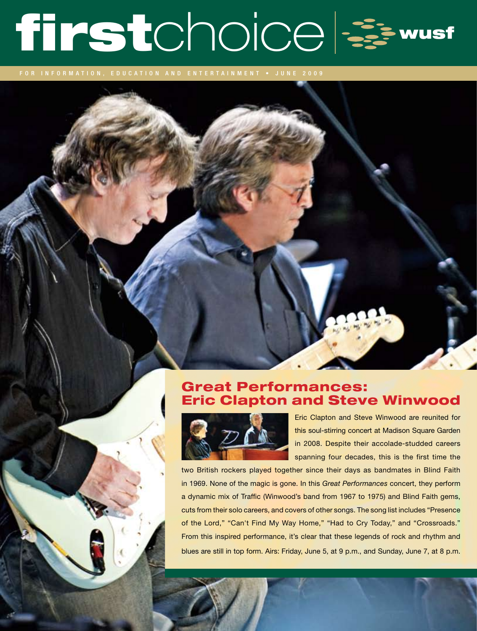# firstchoice &

for information, education and entertainment • J UNE 2009

## Great Performances: Eric Clapton and Steve Winwood



Eric Clapton and Steve Winwood are reunited for this soul-stirring concert at Madison Square Garden in 2008. Despite their accolade-studded careers spanning four decades, this is the first time the

two British rockers played together since their days as bandmates in Blind Faith in 1969. None of the magic is gone. In this *Great Performances* concert, they perform a dynamic mix of Traffic (Winwood's band from 1967 to 1975) and Blind Faith gems, cuts from their solo careers, and covers of other songs. The song list includes "Presence of the Lord," "Can't Find My Way Home," "Had to Cry Today," and "Crossroads." From this inspired performance, it's clear that these legends of rock and rhythm and blues are still in top form. Airs: Friday, June 5, at 9 p.m., and Sunday, June 7, at 8 p.m.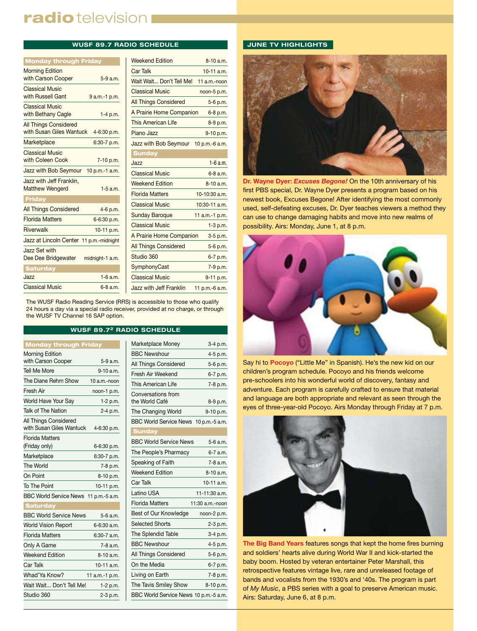# radio television I

#### **WUSF 89.7 RADIO SCHEDULE**

| <b>Monday through Friday</b>                             |                  |
|----------------------------------------------------------|------------------|
| <b>Morning Edition</b><br>with Carson Cooper             | $5-9a.m.$        |
| <b>Classical Music</b><br>with Russell Gant              | 9 a.m.-1 p.m.    |
| <b>Classical Music</b><br>with Bethany Cagle             | $1-4 p.m.$       |
| <b>All Things Considered</b><br>with Susan Giles Wantuck | 4-6:30 p.m.      |
| Marketplace                                              | $6:30-7$ p.m.    |
| <b>Classical Music</b><br>with Coleen Cook               | 7-10 p.m.        |
| Jazz with Bob Seymour                                    | 10 p.m.-1 a.m.   |
| Jazz with Jeff Franklin,<br><b>Matthew Wengerd</b>       | $1-5$ a.m.       |
| Friday                                                   |                  |
| <b>All Things Considered</b>                             | 4-6 p.m.         |
| <b>Florida Matters</b>                                   | 6-6:30 p.m.      |
| <b>Riverwalk</b>                                         | 10-11 p.m.       |
| Jazz at Lincoln Center                                   | 11 p.m.-midnight |
| Jazz Set with<br>Dee Dee Bridgewater                     | midnight-1 a.m.  |
| <b>Saturday</b>                                          |                  |
| Jazz                                                     | $1-6$ a.m.       |
| <b>Classical Music</b>                                   | $6 - 8$ a.m.     |

| <b>Weekend Edition</b>       | $8-10a.m.$       |
|------------------------------|------------------|
| <b>Car Talk</b>              | $10-11$ a.m.     |
| Wait Wait Don't Tell Me!     | 11 a.m.-noon     |
| <b>Classical Music</b>       | noon-5 p.m.      |
| <b>All Things Considered</b> | 5-6 p.m.         |
| A Prairie Home Companion     | 6-8 p.m.         |
| This American Life           | 8-9 p.m.         |
| Piano Jazz                   | 9-10 p.m.        |
| Jazz with Bob Seymour        | 10 p.m.-6 a.m.   |
| <b>Sunday</b>                |                  |
| Jazz                         | $1 - 6$ a.m.     |
| <b>Classical Music</b>       | $6 - 8$ a.m.     |
| <b>Weekend Edition</b>       | $8-10a$ m        |
| <b>Florida Matters</b>       | 10-10:30 a.m.    |
| <b>Classical Music</b>       | $10:30-11$ a.m.  |
| <b>Sunday Baroque</b>        | 11 $a.m.-1 p.m.$ |
| <b>Classical Music</b>       | $1-3 p.m.$       |
| A Prairie Home Companion     | 3-5 p.m.         |
| <b>All Things Considered</b> | 5-6 p.m.         |
| Studio 360                   | 6-7 p.m.         |
| SymphonyCast                 | 7-9 p.m.         |
| <b>Classical Music</b>       | 9-11 p.m.        |
| Jazz with Jeff Franklin      | 11 p.m.-6 a.m.   |

The WUSF Radio Reading Service (RRS) is accessible to those who qualify 24 hours a day via a special radio receiver, provided at no charge, or through the WUSF TV Channel 16 SAP option.

#### **WUSF 89.72 RADIO SCHEDULE**

| <b>Monday through Friday</b>                      |                |
|---------------------------------------------------|----------------|
| Morning Edition                                   |                |
| with Carson Cooper                                | 5-9 a.m.       |
| <b>Tell Me More</b>                               | $9-10$ a.m.    |
| The Diane Rehm Show                               | 10 a.m.-noon   |
| Fresh Air                                         | noon-1 p.m.    |
| World Have Your Say                               | 1-2 p.m.       |
| Talk of The Nation                                | 2-4 p.m.       |
| All Things Considered<br>with Susan Giles Wantuck | 4-6:30 p.m.    |
| <b>Florida Matters</b>                            |                |
| (Friday only)                                     | 6-6:30 p.m.    |
| Marketplace                                       | 6:30-7 p.m.    |
| The World                                         | 7-8 p.m.       |
| On Point                                          | 8-10 p.m.      |
| To The Point                                      | 10-11 p.m.     |
| BBC World Service News 11 p.m.-5 a.m.             |                |
| <b>Saturday</b>                                   |                |
| <b>BBC World Service News</b>                     | 5-6 a.m.       |
| <b>World Vision Report</b>                        | 6-6:30 a.m.    |
| <b>Florida Matters</b>                            | 6:30-7 a.m.    |
| Only A Game                                       | 7-8 a.m.       |
| <b>Weekend Edition</b>                            | $8 - 10$ a.m.  |
| Car Talk                                          | $10-11$ a.m.   |
| Whad'Ya Know?                                     | 11 a.m.-1 p.m. |
| Wait Wait Don't Tell Me!                          | 1-2 p.m.       |
| Studio 360                                        | 2-3 p.m.       |

| Marketplace Money                     | 3-4 p.m.        |
|---------------------------------------|-----------------|
| <b>BBC Newshour</b>                   | 4-5 p.m.        |
| All Things Considered                 | 5-6 p.m.        |
| Fresh Air Weekend                     | 6-7 p.m.        |
| This American I ife                   | 7-8 p.m.        |
| Conversations from<br>the World Café  | 8-9 p.m.        |
| The Changing World                    | 9-10 p.m.       |
| BBC World Service News 10 p.m.-5 a.m. |                 |
| <b>Sunday</b>                         |                 |
| <b>BBC World Service News</b>         | 5-6 a.m.        |
| The People's Pharmacy                 | 6-7 a.m.        |
| Speaking of Faith                     | 7-8 a.m.        |
| <b>Weekend Edition</b>                | 8-10 a.m.       |
| Car Talk                              | 10-11 a.m.      |
| Latino USA                            | 11-11:30 a.m.   |
| <b>Florida Matters</b>                | 11:30 a.m.-noon |
| Best of Our Knowledge                 | noon-2 p.m.     |
| <b>Selected Shorts</b>                | 2-3 p.m.        |
| The Splendid Table                    | 3-4 p.m.        |
| <b>BBC Newshour</b>                   | 4-5 p.m.        |
| All Things Considered                 | 5-6 p.m.        |
| On the Media                          | 6-7 p.m.        |
| Living on Earth                       | 7-8 p.m.        |
| The Tavis Smiley Show                 | 8-10 p.m.       |
| BBC World Service News 10 p.m.-5 a.m. |                 |

#### **JUNE TV HIGHLIGHTS**



**Dr. Wayne Dyer:** *Excuses Begone!* On the 10th anniversary of his first PBS special, Dr. Wayne Dyer presents a program based on his newest book, Excuses Begone! After identifying the most commonly used, self-defeating excuses, Dr. Dyer teaches viewers a method they can use to change damaging habits and move into new realms of possibility. Airs: Monday, June 1, at 8 p.m.



Say hi to **Pocoyo** ("Little Me" in Spanish). He's the new kid on our children's program schedule. Pocoyo and his friends welcome pre-schoolers into his wonderful world of discovery, fantasy and adventure. Each program is carefully crafted to ensure that material and language are both appropriate and relevant as seen through the eyes of three-year-old Pocoyo. Airs Monday through Friday at 7 p.m.



**The Big Band Years** features songs that kept the home fires burning and soldiers' hearts alive during World War II and kick-started the baby boom. Hosted by veteran entertainer Peter Marshall, this retrospective features vintage live, rare and unreleased footage of bands and vocalists from the 1930's and '40s. The program is part of *My Music*, a PBS series with a goal to preserve American music. Airs: Saturday, June 6, at 8 p.m.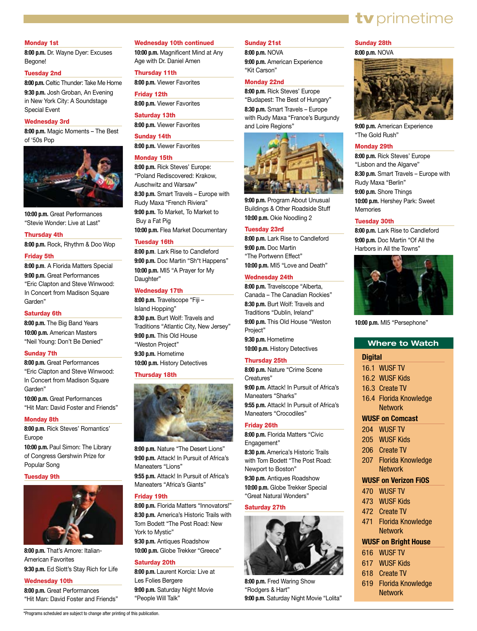#### Monday 1st

**8:00 p.m.** Dr. Wayne Dyer: Excuses Begone!

#### Tuesday 2nd

**8:00 p.m.** Celtic Thunder: Take Me Home **9:30 p.m.** Josh Groban, An Evening in New York City: A Soundstage Special Event

#### Wednesday 3rd

**8:00 p.m.** Magic Moments – The Best of '50s Pop



**10:00 p.m.** Great Performances "Stevie Wonder: Live at Last"

#### Thursday 4th

**8:00 p.m.** Rock, Rhythm & Doo Wop

#### Friday 5th

**8:00 p.m**. A Florida Matters Special **9:00 p.m.** Great Performances "Eric Clapton and Steve Winwood: In Concert from Madison Square Garden"

#### Saturday 6th

**8:00 p.m.** The Big Band Years **10:00 p.m.** American Masters "Neil Young: Don't Be Denied"

#### Sunday 7th

**8:00 p.m.** Great Performances "Eric Clapton and Steve Winwood: In Concert from Madison Square Garden"

**10:00 p.m.** Great Performances "Hit Man: David Foster and Friends"

#### Monday 8th

**8:00 p.m.** Rick Steves' Romantics' Europe

**10:00 p.m.** Paul Simon: The Library of Congress Gershwin Prize for Popular Song

#### Tuesday 9th



**8:00 p.m.** That's Amore: Italian-American Favorites **9:30 p.m.** Ed Slott's Stay Rich for Life

#### Wednesday 10th

**8:00 p.m.** Great Performances "Hit Man: David Foster and Friends"

\*Programs scheduled are subject to change after printing of this publication.

#### Wednesday 10th continued

**10:00 p.m.** Magnificent Mind at Any Age with Dr. Daniel Amen

#### Thursday 11th

**8:00 p.m.** Viewer Favorites

#### Friday 12th

**8:00 p.m.** Viewer Favorites

Saturday 13th

**8:00 p.m.** Viewer Favorites

#### Sunday 14th

**8:00 p.m.** Viewer Favorites

#### Monday 15th

**8:00 p.m.** Rick Steves' Europe: "Poland Rediscovered: Krakow, Auschwitz and Warsaw" **8:30 p.m.** Smart Travels – Europe with Rudy Maxa "French Riviera" **9:00 p.m.** To Market, To Market to Buy a Fat Pig **10:00 p.m.** Flea Market Documentary

#### Tuesday 16th

**8:00 p.m**. Lark Rise to Candleford **9:00 p.m.** Doc Martin "Sh\*t Happens" **10:00 p.m.** MI5 "A Prayer for My Daughter"

#### Wednesday 17th

**8:00 p.m.** Travelscope "Fiji – Island Hopping" **8:30 p.m.** Burt Wolf: Travels and Traditions "Atlantic City, New Jersey" **9:00 p.m.** This Old House "Weston Project" **9:30 p.m.** Hometime **10:00 p.m.** History Detectives

#### Thursday 18th



**8:00 p.m.** Nature "The Desert Lions" **9:00 p.m.** Attack! In Pursuit of Africa's Maneaters "Lions" **9:55 p.m.** Attack! In Pursuit of Africa's Maneaters "Africa's Giants"

#### Friday 19th

**8:00 p.m.** Florida Matters "Innovators!" **8:30 p.m.** America's Historic Trails with Tom Bodett "The Post Road: New York to Mystic" **9:30 p.m.** Antiques Roadshow

**10:00 p.m.** Globe Trekker "Greece"

#### Saturday 20th

**8:00 p.m.** Laurent Korcia: Live at Les Folies Bergere **9:00 p.m.** Saturday Night Movie "People Will Talk"

#### Sunday 21st

**8:00 p.m.** NOVA **9:00 p.m.** American Experience "Kit Carson"

#### Monday 22nd

**8:00 p.m.** Rick Steves' Europe "Budapest: The Best of Hungary" **8:30 p.m.** Smart Travels – Europe with Rudy Maxa "France's Burgundy and Loire Regions"



**9:00 p.m.** Program About Unusual Buildings & Other Roadside Stuff **10:00 p.m.** Okie Noodling 2

#### Tuesday 23rd

**8:00 p.m.** Lark Rise to Candleford **9:00 p.m.** Doc Martin "The Portwenn Effect" **10:00 p.m.** MI5 "Love and Death"

#### Wednesday 24th

**8:00 p.m.** Travelscope "Alberta, Canada – The Canadian Rockies" **8:30 p.m.** Burt Wolf: Travels and Traditions "Dublin, Ireland" **9:00 p.m.** This Old House "Weston Project" **9:30 p.m.** Hometime

**10:00 p.m.** History Detectives

#### Thursday 25th

**8:00 p.m.** Nature "Crime Scene Creatures" **9:00 p.m.** Attack! In Pursuit of Africa's Maneaters "Sharks" **9:55 p.m.** Attack! In Pursuit of Africa's Maneaters "Crocodiles"

#### Friday 26th

**8:00 p.m.** Florida Matters "Civic Engagement" **8:30 p.m.** America's Historic Trails with Tom Bodett "The Post Road:

Newport to Boston" **9:30 p.m.** Antiques Roadshow

**10:00 p.m.** Globe Trekker Special "Great Natural Wonders"

#### Saturday 27th



**8:00 p.m.** Fred Waring Show "Rodgers & Hart" **9:00 p.m.** Saturday Night Movie "Lolita"

### Sunday 28th

#### **8:00 p.m.** NOVA



tv primetime

**9:00 p.m.** American Experience "The Gold Rush"

#### Monday 29th

**8:00 p.m.** Rick Steves' Europe "Lisbon and the Algarve" **8:30 p.m.** Smart Travels – Europe with Rudy Maxa "Berlin" **9:00 p.m.** Shore Things **10:00 p.m.** Hershey Park: Sweet Memories

#### Tuesday 30th

**8:00 p.m.** Lark Rise to Candleford **9:00 p.m.** Doc Martin "Of All the Harbors in All the Towns"



**10:00 p.m.** MI5 "Persephone"

#### **Where to Watch**

#### **Digital**

- 16.1 WUSF TV
- 16.2 WUSF Kids
- 16.3 Create TV
- 16.4 Florida Knowledge **Network**

#### **WUSF on Comcast**

- 204 WUSF TV
- 205 WUSF Kids
- 206 Create TV
- 207 Florida Knowledge Network

#### **WUSF on Verizon FiOS**

- 470 WUSF TV
- 473 WUSF Kids
- 472 Create TV
- 471 Florida Knowledge **Network**

#### **WUSF on Bright House**

- 616 WUSF TV
- 617 WUSF Kids
- 618 Create TV
- 619 Florida Knowledge Network